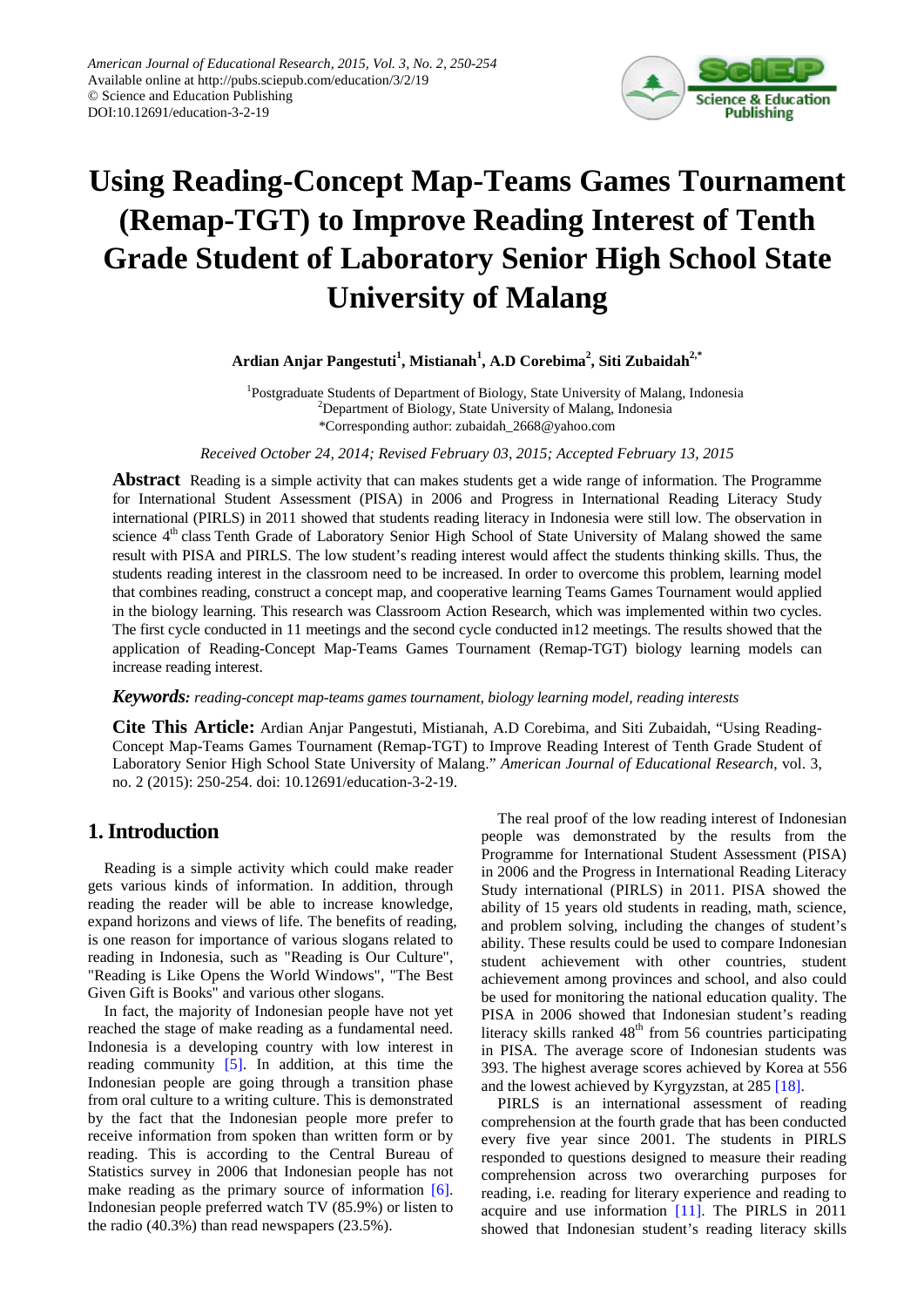

# **Using Reading-Concept Map-Teams Games Tournament (Remap-TGT) to Improve Reading Interest of Tenth Grade Student of Laboratory Senior High School State University of Malang**

**Ardian Anjar Pangestuti<sup>1</sup> , Mistianah1 , A.D Corebima<sup>2</sup> , Siti Zubaidah2,\***

<sup>1</sup>Postgraduate Students of Department of Biology, State University of Malang, Indonesia <sup>2</sup>Department of Biology, State University of Malang, Indonesia \*Corresponding author: zubaidah\_2668@yahoo.com

*Received October 24, 2014; Revised February 03, 2015; Accepted February 13, 2015*

**Abstract** Reading is a simple activity that can makes students get a wide range of information. The Programme for International Student Assessment (PISA) in 2006 and Progress in International Reading Literacy Study international (PIRLS) in 2011 showed that students reading literacy in Indonesia were still low. The observation in science 4<sup>th</sup> class Tenth Grade of Laboratory Senior High School of State University of Malang showed the same result with PISA and PIRLS. The low student's reading interest would affect the students thinking skills. Thus, the students reading interest in the classroom need to be increased. In order to overcome this problem, learning model that combines reading, construct a concept map, and cooperative learning Teams Games Tournament would applied in the biology learning. This research was Classroom Action Research, which was implemented within two cycles. The first cycle conducted in 11 meetings and the second cycle conducted in12 meetings. The results showed that the application of Reading-Concept Map-Teams Games Tournament (Remap-TGT) biology learning models can increase reading interest.

*Keywords: reading-concept map-teams games tournament, biology learning model, reading interests*

**Cite This Article:** Ardian Anjar Pangestuti, Mistianah, A.D Corebima, and Siti Zubaidah, "Using Reading-Concept Map-Teams Games Tournament (Remap-TGT) to Improve Reading Interest of Tenth Grade Student of Laboratory Senior High School State University of Malang." *American Journal of Educational Research*, vol. 3, no. 2 (2015): 250-254. doi: 10.12691/education-3-2-19.

# **1. Introduction**

Reading is a simple activity which could make reader gets various kinds of information. In addition, through reading the reader will be able to increase knowledge, expand horizons and views of life. The benefits of reading, is one reason for importance of various slogans related to reading in Indonesia, such as "Reading is Our Culture", "Reading is Like Opens the World Windows", "The Best Given Gift is Books" and various other slogans.

In fact, the majority of Indonesian people have not yet reached the stage of make reading as a fundamental need. Indonesia is a developing country with low interest in reading community [\[5\].](#page-4-0) In addition, at this time the Indonesian people are going through a transition phase from oral culture to a writing culture. This is demonstrated by the fact that the Indonesian people more prefer to receive information from spoken than written form or by reading. This is according to the Central Bureau of Statistics survey in 2006 that Indonesian people has not make reading as the primary source of information [\[6\].](#page-4-1) Indonesian people preferred watch TV (85.9%) or listen to the radio (40.3%) than read newspapers (23.5%).

The real proof of the low reading interest of Indonesian people was demonstrated by the results from the Programme for International Student Assessment (PISA) in 2006 and the Progress in International Reading Literacy Study international (PIRLS) in 2011. PISA showed the ability of 15 years old students in reading, math, science, and problem solving, including the changes of student's ability. These results could be used to compare Indonesian student achievement with other countries, student achievement among provinces and school, and also could be used for monitoring the national education quality. The PISA in 2006 showed that Indonesian student's reading literacy skills ranked  $48<sup>th</sup>$  from 56 countries participating in PISA. The average score of Indonesian students was 393. The highest average scores achieved by Korea at 556 and the lowest achieved by Kyrgyzstan, at 285 [\[18\].](#page-4-2)

PIRLS is an international assessment of reading comprehension at the fourth grade that has been conducted every five year since 2001. The students in PIRLS responded to questions designed to measure their reading comprehension across two overarching purposes for reading, i.e. reading for literary experience and reading to acquire and use information [\[11\].](#page-4-3) The PIRLS in 2011 showed that Indonesian student's reading literacy skills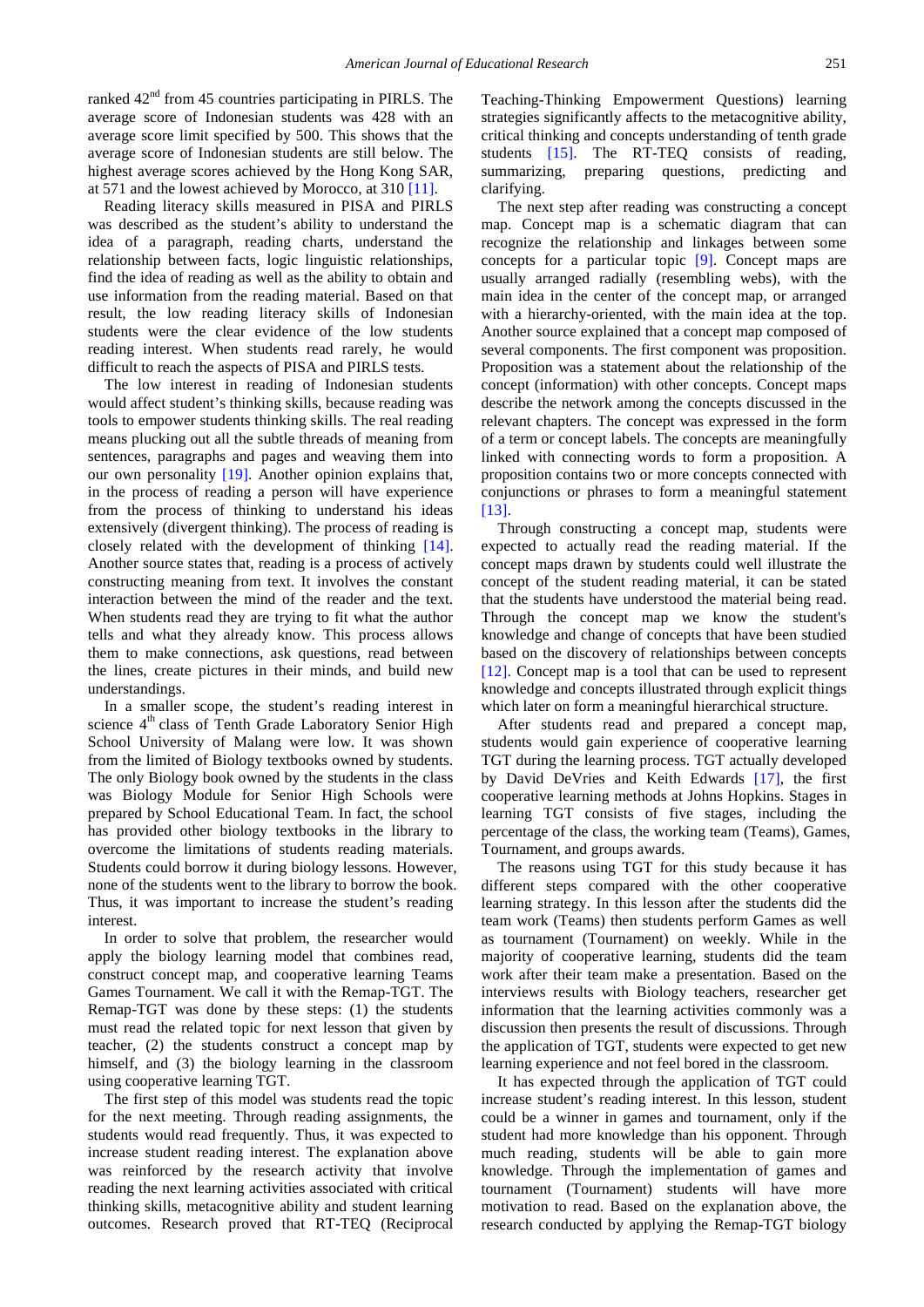ranked  $42<sup>nd</sup>$  from 45 countries participating in PIRLS. The average score of Indonesian students was 428 with an average score limit specified by 500. This shows that the average score of Indonesian students are still below. The highest average scores achieved by the Hong Kong SAR, at 571 and the lowest achieved by Morocco, at 310 [\[11\].](#page-4-3)

Reading literacy skills measured in PISA and PIRLS was described as the student's ability to understand the idea of a paragraph, reading charts, understand the relationship between facts, logic linguistic relationships, find the idea of reading as well as the ability to obtain and use information from the reading material. Based on that result, the low reading literacy skills of Indonesian students were the clear evidence of the low students reading interest. When students read rarely, he would difficult to reach the aspects of PISA and PIRLS tests.

The low interest in reading of Indonesian students would affect student's thinking skills, because reading was tools to empower students thinking skills. The real reading means plucking out all the subtle threads of meaning from sentences, paragraphs and pages and weaving them into our own personality [\[19\].](#page-4-4) Another opinion explains that, in the process of reading a person will have experience from the process of thinking to understand his ideas extensively (divergent thinking). The process of reading is closely related with the development of thinking [\[14\].](#page-4-5) Another source states that, reading is a process of actively constructing meaning from text. It involves the constant interaction between the mind of the reader and the text. When students read they are trying to fit what the author tells and what they already know. This process allows them to make connections, ask questions, read between the lines, create pictures in their minds, and build new understandings.

In a smaller scope, the student's reading interest in science 4<sup>th</sup> class of Tenth Grade Laboratory Senior High School University of Malang were low. It was shown from the limited of Biology textbooks owned by students. The only Biology book owned by the students in the class was Biology Module for Senior High Schools were prepared by School Educational Team. In fact, the school has provided other biology textbooks in the library to overcome the limitations of students reading materials. Students could borrow it during biology lessons. However, none of the students went to the library to borrow the book. Thus, it was important to increase the student's reading interest.

In order to solve that problem, the researcher would apply the biology learning model that combines read, construct concept map, and cooperative learning Teams Games Tournament. We call it with the Remap-TGT. The Remap-TGT was done by these steps: (1) the students must read the related topic for next lesson that given by teacher, (2) the students construct a concept map by himself, and (3) the biology learning in the classroom using cooperative learning TGT.

The first step of this model was students read the topic for the next meeting. Through reading assignments, the students would read frequently. Thus, it was expected to increase student reading interest. The explanation above was reinforced by the research activity that involve reading the next learning activities associated with critical thinking skills, metacognitive ability and student learning outcomes. Research proved that RT-TEQ (Reciprocal Teaching-Thinking Empowerment Questions) learning strategies significantly affects to the metacognitive ability, critical thinking and concepts understanding of tenth grade students [\[15\].](#page-4-6) The RT-TEQ consists of reading, summarizing, preparing questions, predicting and clarifying.

The next step after reading was constructing a concept map. Concept map is a schematic diagram that can recognize the relationship and linkages between some concepts for a particular topic [\[9\].](#page-4-7) Concept maps are usually arranged radially (resembling webs), with the main idea in the center of the concept map, or arranged with a hierarchy-oriented, with the main idea at the top. Another source explained that a concept map composed of several components. The first component was proposition. Proposition was a statement about the relationship of the concept (information) with other concepts. Concept maps describe the network among the concepts discussed in the relevant chapters. The concept was expressed in the form of a term or concept labels. The concepts are meaningfully linked with connecting words to form a proposition. A proposition contains two or more concepts connected with conjunctions or phrases to form a meaningful statement [\[13\].](#page-4-8)

Through constructing a concept map, students were expected to actually read the reading material. If the concept maps drawn by students could well illustrate the concept of the student reading material, it can be stated that the students have understood the material being read. Through the concept map we know the student's knowledge and change of concepts that have been studied based on the discovery of relationships between concepts [\[12\].](#page-4-9) Concept map is a tool that can be used to represent knowledge and concepts illustrated through explicit things which later on form a meaningful hierarchical structure.

After students read and prepared a concept map, students would gain experience of cooperative learning TGT during the learning process. TGT actually developed by David DeVries and Keith Edwards [\[17\],](#page-4-10) the first cooperative learning methods at Johns Hopkins. Stages in learning TGT consists of five stages, including the percentage of the class, the working team (Teams), Games, Tournament, and groups awards.

The reasons using TGT for this study because it has different steps compared with the other cooperative learning strategy. In this lesson after the students did the team work (Teams) then students perform Games as well as tournament (Tournament) on weekly. While in the majority of cooperative learning, students did the team work after their team make a presentation. Based on the interviews results with Biology teachers, researcher get information that the learning activities commonly was a discussion then presents the result of discussions. Through the application of TGT, students were expected to get new learning experience and not feel bored in the classroom.

It has expected through the application of TGT could increase student's reading interest. In this lesson, student could be a winner in games and tournament, only if the student had more knowledge than his opponent. Through much reading, students will be able to gain more knowledge. Through the implementation of games and tournament (Tournament) students will have more motivation to read. Based on the explanation above, the research conducted by applying the Remap-TGT biology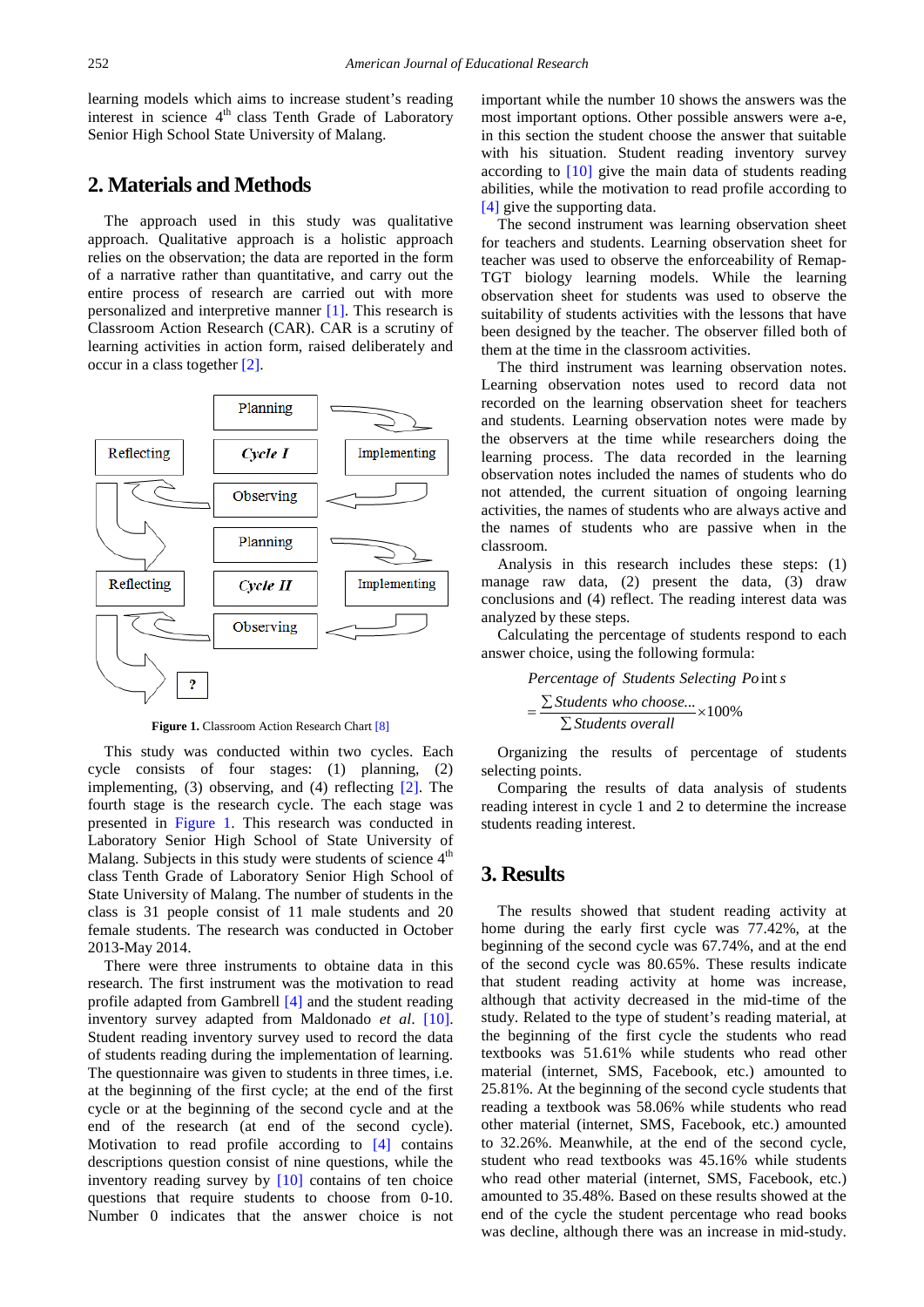learning models which aims to increase student's reading interest in science  $4<sup>th</sup>$  class Tenth Grade of Laboratory Senior High School State University of Malang.

# **2. Materials and Methods**

The approach used in this study was qualitative approach. Qualitative approach is a holistic approach relies on the observation; the data are reported in the form of a narrative rather than quantitative, and carry out the entire process of research are carried out with more personalized and interpretive manner [\[1\].](#page-4-11) This research is Classroom Action Research (CAR). CAR is a scrutiny of learning activities in action form, raised deliberately and occur in a class together [\[2\].](#page-4-12)

<span id="page-2-0"></span>

**Figure 1.** Classroom Action Research Char[t \[8\]](#page-4-13)

This study was conducted within two cycles. Each cycle consists of four stages: (1) planning, (2) implementing, (3) observing, and (4) reflecting  $[2]$ . The fourth stage is the research cycle. The each stage was presented in [Figure 1.](#page-2-0) This research was conducted in Laboratory Senior High School of State University of Malang. Subjects in this study were students of science  $4<sup>th</sup>$ class Tenth Grade of Laboratory Senior High School of State University of Malang. The number of students in the class is 31 people consist of 11 male students and 20 female students. The research was conducted in October 2013-May 2014.

There were three instruments to obtaine data in this research. The first instrument was the motivation to read profile adapted from Gambrell [\[4\]](#page-4-14) and the student reading inventory survey adapted from Maldonado *et al*. [\[10\].](#page-4-15) Student reading inventory survey used to record the data of students reading during the implementation of learning. The questionnaire was given to students in three times, i.e. at the beginning of the first cycle; at the end of the first cycle or at the beginning of the second cycle and at the end of the research (at end of the second cycle). Motivation to read profile according to [\[4\]](#page-4-14) contains descriptions question consist of nine questions, while the inventory reading survey by [\[10\]](#page-4-15) contains of ten choice questions that require students to choose from 0-10. Number 0 indicates that the answer choice is not important while the number 10 shows the answers was the most important options. Other possible answers were a-e, in this section the student choose the answer that suitable with his situation. Student reading inventory survey according to [\[10\]](#page-4-15) give the main data of students reading abilities, while the motivation to read profile according to [\[4\]](#page-4-14) give the supporting data.

The second instrument was learning observation sheet for teachers and students. Learning observation sheet for teacher was used to observe the enforceability of Remap-TGT biology learning models. While the learning observation sheet for students was used to observe the suitability of students activities with the lessons that have been designed by the teacher. The observer filled both of them at the time in the classroom activities.

The third instrument was learning observation notes. Learning observation notes used to record data not recorded on the learning observation sheet for teachers and students. Learning observation notes were made by the observers at the time while researchers doing the learning process. The data recorded in the learning observation notes included the names of students who do not attended, the current situation of ongoing learning activities, the names of students who are always active and the names of students who are passive when in the classroom.

Analysis in this research includes these steps: (1) manage raw data, (2) present the data, (3) draw conclusions and (4) reflect. The reading interest data was analyzed by these steps.

Calculating the percentage of students respond to each answer choice, using the following formula:

Percentage of Students Selecting Point s  
= 
$$
\frac{\sum Students who choose...}{\sum Students overall} \times 100\%
$$

Organizing the results of percentage of students selecting points.

Comparing the results of data analysis of students reading interest in cycle 1 and 2 to determine the increase students reading interest.

### **3. Results**

The results showed that student reading activity at home during the early first cycle was 77.42%, at the beginning of the second cycle was 67.74%, and at the end of the second cycle was 80.65%. These results indicate that student reading activity at home was increase, although that activity decreased in the mid-time of the study. Related to the type of student's reading material, at the beginning of the first cycle the students who read textbooks was 51.61% while students who read other material (internet, SMS, Facebook, etc.) amounted to 25.81%. At the beginning of the second cycle students that reading a textbook was 58.06% while students who read other material (internet, SMS, Facebook, etc.) amounted to 32.26%. Meanwhile, at the end of the second cycle, student who read textbooks was 45.16% while students who read other material (internet, SMS, Facebook, etc.) amounted to 35.48%. Based on these results showed at the end of the cycle the student percentage who read books was decline, although there was an increase in mid-study.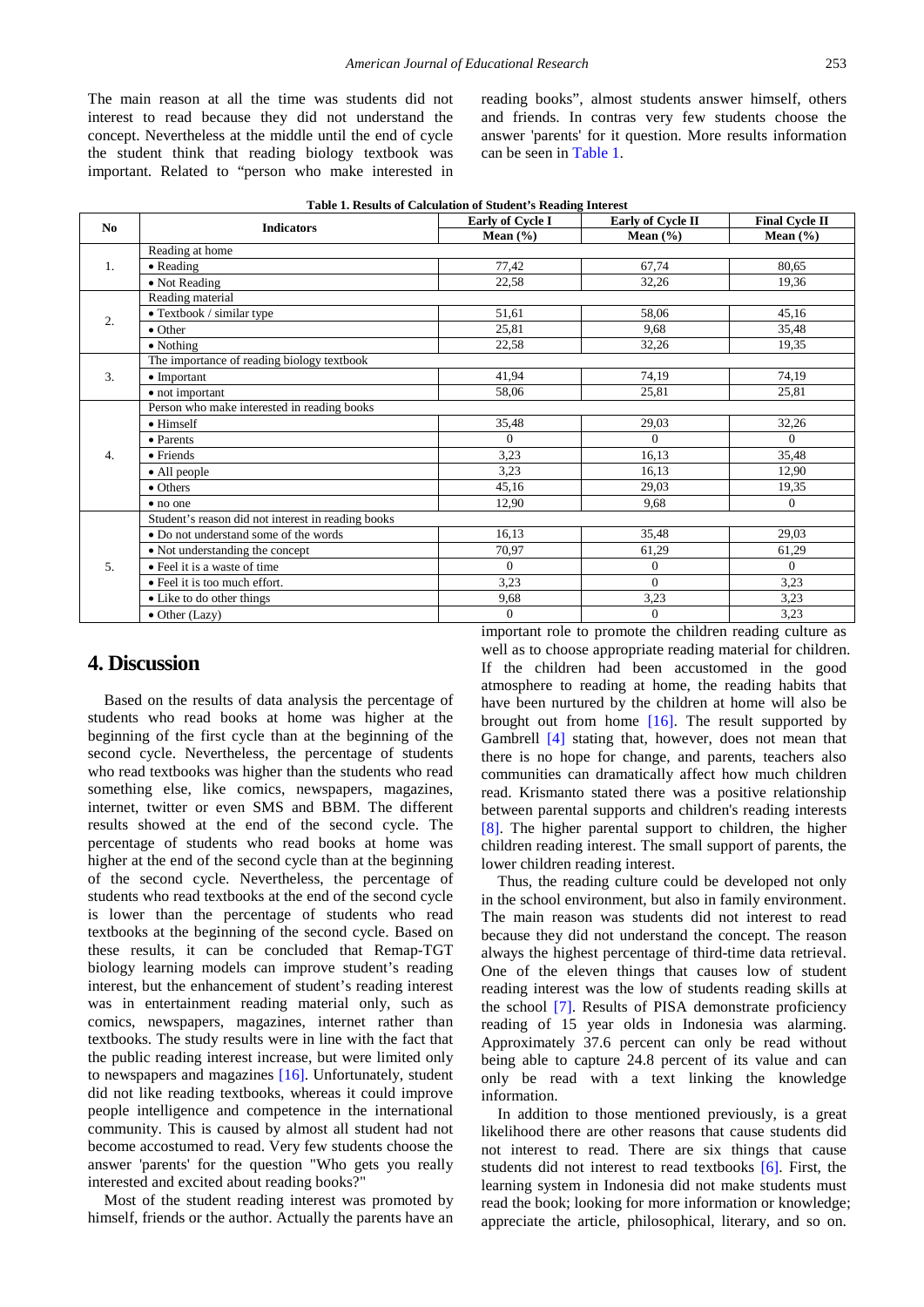The main reason at all the time was students did not interest to read because they did not understand the concept. Nevertheless at the middle until the end of cycle the student think that reading biology textbook was important. Related to "person who make interested in reading books", almost students answer himself, others and friends. In contras very few students choose the answer 'parents' for it question. More results information can be seen in [Table 1.](#page-3-0)

<span id="page-3-0"></span>

| <b>Final Cycle II</b><br>Early of Cycle I<br>Early of Cycle II<br>N <sub>0</sub><br><b>Indicators</b><br>Mean $(\% )$<br>Mean $(\% )$<br>Mean $(\% )$<br>Reading at home<br>$\bullet$ Reading<br>77,42<br>67,74<br>80,65<br>1.<br>32,26<br>19,36<br>22,58<br>• Not Reading<br>Reading material<br>$\overline{\bullet}$ Textbook / similar type<br>51,61<br>58,06<br>45,16<br>2.<br>35,48<br>25,81<br>9,68<br>$\bullet$ Other<br>22,58<br>32,26<br>19,35<br>$\bullet$ Nothing<br>The importance of reading biology textbook<br>41.94<br>74,19<br>74,19<br>3.<br>$\bullet$ Important<br>58,06<br>25,81<br>25,81<br>• not important<br>Person who make interested in reading books<br>$\bullet$ Himself<br>35,48<br>29,03<br>32,26<br>$\Omega$<br>$\Omega$<br>$\Omega$<br>• Parents<br>3,23<br>16,13<br>35,48<br>$\overline{4}$ .<br>$\bullet$ Friends<br>3,23<br>16,13<br>12,90<br>• All people<br>45,16<br>$\bullet$ Others<br>29,03<br>19,35<br>12,90<br>9,68<br>$\Omega$<br>• no one<br>Student's reason did not interest in reading books<br>16.13<br>35,48<br>29,03<br>• Do not understand some of the words<br>70,97<br>61,29<br>61,29<br>• Not understanding the concept<br>$\Omega$<br>$\Omega$<br>5.<br>$\Omega$<br>• Feel it is a waste of time<br>3,23<br>$\Omega$<br>• Feel it is too much effort.<br>3,23<br>9,68<br>3,23<br>3,23<br>• Like to do other things<br>$\bullet$ Other (Lazy)<br>$\mathbf{0}$<br>$\overline{0}$<br>3,23<br>$\bullet$ | Table 1. Results of Calculation of Student's Reading Interest |  |  |  |  |  |
|------------------------------------------------------------------------------------------------------------------------------------------------------------------------------------------------------------------------------------------------------------------------------------------------------------------------------------------------------------------------------------------------------------------------------------------------------------------------------------------------------------------------------------------------------------------------------------------------------------------------------------------------------------------------------------------------------------------------------------------------------------------------------------------------------------------------------------------------------------------------------------------------------------------------------------------------------------------------------------------------------------------------------------------------------------------------------------------------------------------------------------------------------------------------------------------------------------------------------------------------------------------------------------------------------------------------------------------------------------------------------------------------------------------------------------------------------------|---------------------------------------------------------------|--|--|--|--|--|
|                                                                                                                                                                                                                                                                                                                                                                                                                                                                                                                                                                                                                                                                                                                                                                                                                                                                                                                                                                                                                                                                                                                                                                                                                                                                                                                                                                                                                                                            |                                                               |  |  |  |  |  |
|                                                                                                                                                                                                                                                                                                                                                                                                                                                                                                                                                                                                                                                                                                                                                                                                                                                                                                                                                                                                                                                                                                                                                                                                                                                                                                                                                                                                                                                            |                                                               |  |  |  |  |  |
|                                                                                                                                                                                                                                                                                                                                                                                                                                                                                                                                                                                                                                                                                                                                                                                                                                                                                                                                                                                                                                                                                                                                                                                                                                                                                                                                                                                                                                                            |                                                               |  |  |  |  |  |
|                                                                                                                                                                                                                                                                                                                                                                                                                                                                                                                                                                                                                                                                                                                                                                                                                                                                                                                                                                                                                                                                                                                                                                                                                                                                                                                                                                                                                                                            |                                                               |  |  |  |  |  |
|                                                                                                                                                                                                                                                                                                                                                                                                                                                                                                                                                                                                                                                                                                                                                                                                                                                                                                                                                                                                                                                                                                                                                                                                                                                                                                                                                                                                                                                            |                                                               |  |  |  |  |  |
|                                                                                                                                                                                                                                                                                                                                                                                                                                                                                                                                                                                                                                                                                                                                                                                                                                                                                                                                                                                                                                                                                                                                                                                                                                                                                                                                                                                                                                                            |                                                               |  |  |  |  |  |
|                                                                                                                                                                                                                                                                                                                                                                                                                                                                                                                                                                                                                                                                                                                                                                                                                                                                                                                                                                                                                                                                                                                                                                                                                                                                                                                                                                                                                                                            |                                                               |  |  |  |  |  |
|                                                                                                                                                                                                                                                                                                                                                                                                                                                                                                                                                                                                                                                                                                                                                                                                                                                                                                                                                                                                                                                                                                                                                                                                                                                                                                                                                                                                                                                            |                                                               |  |  |  |  |  |
|                                                                                                                                                                                                                                                                                                                                                                                                                                                                                                                                                                                                                                                                                                                                                                                                                                                                                                                                                                                                                                                                                                                                                                                                                                                                                                                                                                                                                                                            |                                                               |  |  |  |  |  |
|                                                                                                                                                                                                                                                                                                                                                                                                                                                                                                                                                                                                                                                                                                                                                                                                                                                                                                                                                                                                                                                                                                                                                                                                                                                                                                                                                                                                                                                            |                                                               |  |  |  |  |  |
|                                                                                                                                                                                                                                                                                                                                                                                                                                                                                                                                                                                                                                                                                                                                                                                                                                                                                                                                                                                                                                                                                                                                                                                                                                                                                                                                                                                                                                                            |                                                               |  |  |  |  |  |
|                                                                                                                                                                                                                                                                                                                                                                                                                                                                                                                                                                                                                                                                                                                                                                                                                                                                                                                                                                                                                                                                                                                                                                                                                                                                                                                                                                                                                                                            |                                                               |  |  |  |  |  |
|                                                                                                                                                                                                                                                                                                                                                                                                                                                                                                                                                                                                                                                                                                                                                                                                                                                                                                                                                                                                                                                                                                                                                                                                                                                                                                                                                                                                                                                            |                                                               |  |  |  |  |  |
|                                                                                                                                                                                                                                                                                                                                                                                                                                                                                                                                                                                                                                                                                                                                                                                                                                                                                                                                                                                                                                                                                                                                                                                                                                                                                                                                                                                                                                                            |                                                               |  |  |  |  |  |
|                                                                                                                                                                                                                                                                                                                                                                                                                                                                                                                                                                                                                                                                                                                                                                                                                                                                                                                                                                                                                                                                                                                                                                                                                                                                                                                                                                                                                                                            |                                                               |  |  |  |  |  |
|                                                                                                                                                                                                                                                                                                                                                                                                                                                                                                                                                                                                                                                                                                                                                                                                                                                                                                                                                                                                                                                                                                                                                                                                                                                                                                                                                                                                                                                            |                                                               |  |  |  |  |  |
|                                                                                                                                                                                                                                                                                                                                                                                                                                                                                                                                                                                                                                                                                                                                                                                                                                                                                                                                                                                                                                                                                                                                                                                                                                                                                                                                                                                                                                                            |                                                               |  |  |  |  |  |
|                                                                                                                                                                                                                                                                                                                                                                                                                                                                                                                                                                                                                                                                                                                                                                                                                                                                                                                                                                                                                                                                                                                                                                                                                                                                                                                                                                                                                                                            |                                                               |  |  |  |  |  |
|                                                                                                                                                                                                                                                                                                                                                                                                                                                                                                                                                                                                                                                                                                                                                                                                                                                                                                                                                                                                                                                                                                                                                                                                                                                                                                                                                                                                                                                            |                                                               |  |  |  |  |  |
|                                                                                                                                                                                                                                                                                                                                                                                                                                                                                                                                                                                                                                                                                                                                                                                                                                                                                                                                                                                                                                                                                                                                                                                                                                                                                                                                                                                                                                                            |                                                               |  |  |  |  |  |
|                                                                                                                                                                                                                                                                                                                                                                                                                                                                                                                                                                                                                                                                                                                                                                                                                                                                                                                                                                                                                                                                                                                                                                                                                                                                                                                                                                                                                                                            |                                                               |  |  |  |  |  |
|                                                                                                                                                                                                                                                                                                                                                                                                                                                                                                                                                                                                                                                                                                                                                                                                                                                                                                                                                                                                                                                                                                                                                                                                                                                                                                                                                                                                                                                            |                                                               |  |  |  |  |  |
|                                                                                                                                                                                                                                                                                                                                                                                                                                                                                                                                                                                                                                                                                                                                                                                                                                                                                                                                                                                                                                                                                                                                                                                                                                                                                                                                                                                                                                                            |                                                               |  |  |  |  |  |
|                                                                                                                                                                                                                                                                                                                                                                                                                                                                                                                                                                                                                                                                                                                                                                                                                                                                                                                                                                                                                                                                                                                                                                                                                                                                                                                                                                                                                                                            |                                                               |  |  |  |  |  |
|                                                                                                                                                                                                                                                                                                                                                                                                                                                                                                                                                                                                                                                                                                                                                                                                                                                                                                                                                                                                                                                                                                                                                                                                                                                                                                                                                                                                                                                            |                                                               |  |  |  |  |  |
|                                                                                                                                                                                                                                                                                                                                                                                                                                                                                                                                                                                                                                                                                                                                                                                                                                                                                                                                                                                                                                                                                                                                                                                                                                                                                                                                                                                                                                                            |                                                               |  |  |  |  |  |

#### **4. Discussion**

Based on the results of data analysis the percentage of students who read books at home was higher at the beginning of the first cycle than at the beginning of the second cycle. Nevertheless, the percentage of students who read textbooks was higher than the students who read something else, like comics, newspapers, magazines, internet, twitter or even SMS and BBM. The different results showed at the end of the second cycle. The percentage of students who read books at home was higher at the end of the second cycle than at the beginning of the second cycle. Nevertheless, the percentage of students who read textbooks at the end of the second cycle is lower than the percentage of students who read textbooks at the beginning of the second cycle. Based on these results, it can be concluded that Remap-TGT biology learning models can improve student's reading interest, but the enhancement of student's reading interest was in entertainment reading material only, such as comics, newspapers, magazines, internet rather than textbooks. The study results were in line with the fact that the public reading interest increase, but were limited only to newspapers and magazines [\[16\].](#page-4-16) Unfortunately, student did not like reading textbooks, whereas it could improve people intelligence and competence in the international community. This is caused by almost all student had not become accostumed to read. Very few students choose the answer 'parents' for the question "Who gets you really interested and excited about reading books?"

Most of the student reading interest was promoted by himself, friends or the author. Actually the parents have an important role to promote the children reading culture as well as to choose appropriate reading material for children. If the children had been accustomed in the good atmosphere to reading at home, the reading habits that have been nurtured by the children at home will also be brought out from home [\[16\].](#page-4-16) The result supported by Gambrell [\[4\]](#page-4-14) stating that, however, does not mean that there is no hope for change, and parents, teachers also communities can dramatically affect how much children read. Krismanto stated there was a positive relationship between parental supports and children's reading interests [\[8\].](#page-4-13) The higher parental support to children, the higher children reading interest. The small support of parents, the lower children reading interest.

Thus, the reading culture could be developed not only in the school environment, but also in family environment. The main reason was students did not interest to read because they did not understand the concept. The reason always the highest percentage of third-time data retrieval. One of the eleven things that causes low of student reading interest was the low of students reading skills at the school [\[7\].](#page-4-17) Results of PISA demonstrate proficiency reading of 15 year olds in Indonesia was alarming. Approximately 37.6 percent can only be read without being able to capture 24.8 percent of its value and can only be read with a text linking the knowledge information.

In addition to those mentioned previously, is a great likelihood there are other reasons that cause students did not interest to read. There are six things that cause students did not interest to read textbooks [\[6\].](#page-4-1) First, the learning system in Indonesia did not make students must read the book; looking for more information or knowledge; appreciate the article, philosophical, literary, and so on.